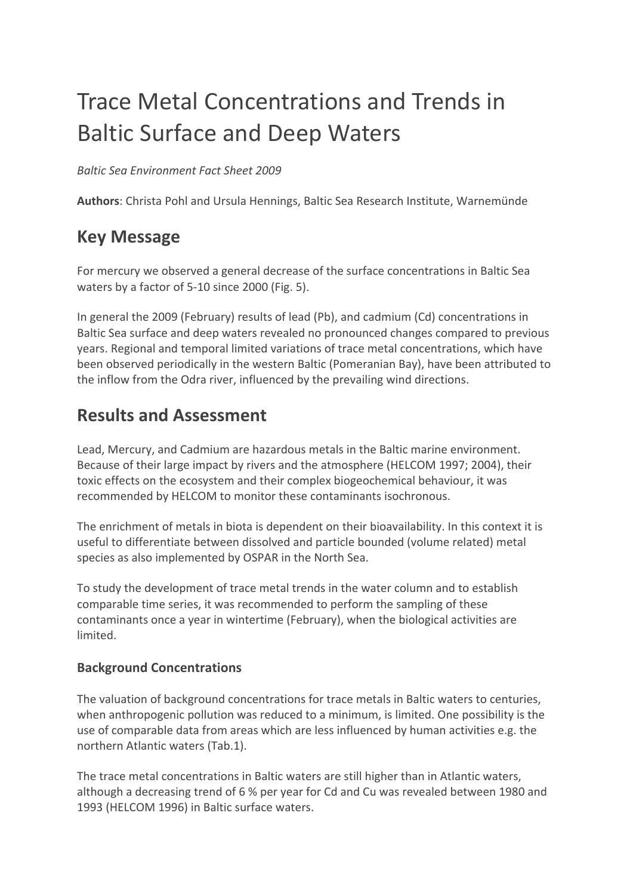# Trace Metal Concentrations and Trends in Baltic Surface and Deep Waters

*Baltic Sea Environment Fact Sheet 2009*

**Authors**: Christa Pohl and Ursula Hennings, Baltic Sea Research Institute, Warnemünde

# **Key Message**

For mercury we observed a general decrease of the surface concentrations in Baltic Sea waters by a factor of 5-10 since 2000 (Fig. 5).

In general the 2009 (February) results of lead (Pb), and cadmium (Cd) concentrations in Baltic Sea surface and deep waters revealed no pronounced changes compared to previous years. Regional and temporal limited variations of trace metal concentrations, which have been observed periodically in the western Baltic (Pomeranian Bay), have been attributed to the inflow from the Odra river, influenced by the prevailing wind directions.

# **Results and Assessment**

Lead, Mercury, and Cadmium are hazardous metals in the Baltic marine environment. Because of their large impact by rivers and the atmosphere (HELCOM 1997; 2004), their toxic effects on the ecosystem and their complex biogeochemical behaviour, it was recommended by HELCOM to monitor these contaminants isochronous.

The enrichment of metals in biota is dependent on their bioavailability. In this context it is useful to differentiate between dissolved and particle bounded (volume related) metal species as also implemented by OSPAR in the North Sea.

To study the development of trace metal trends in the water column and to establish comparable time series, it was recommended to perform the sampling of these contaminants once a year in wintertime (February), when the biological activities are limited.

# **Background Concentrations**

The valuation of background concentrations for trace metals in Baltic waters to centuries, when anthropogenic pollution was reduced to a minimum, is limited. One possibility is the use of comparable data from areas which are less influenced by human activities e.g. the northern Atlantic waters (Tab.1).

The trace metal concentrations in Baltic waters are still higher than in Atlantic waters, although a decreasing trend of 6 % per year for Cd and Cu was revealed between 1980 and 1993 (HELCOM 1996) in Baltic surface waters.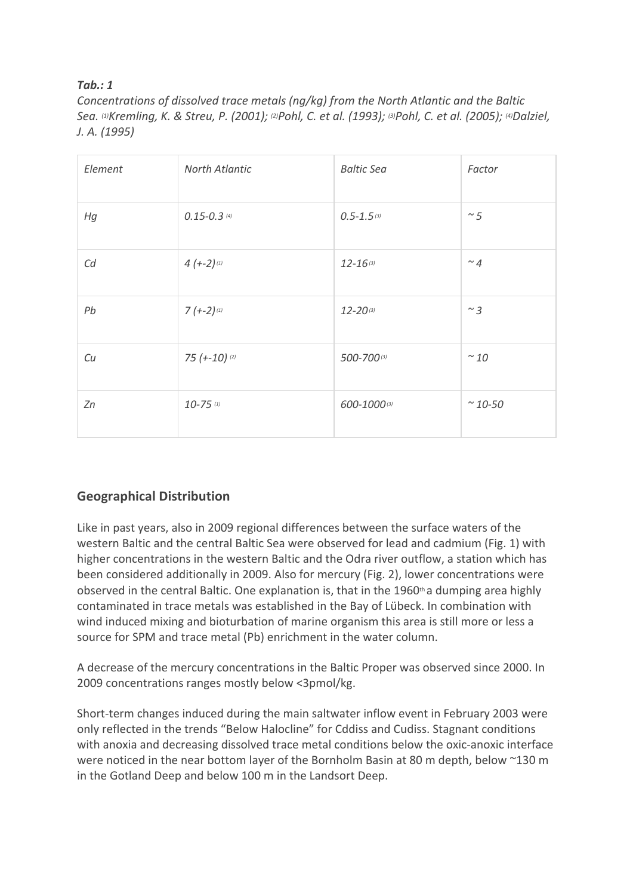### *Tab.: 1*

*Concentrations of dissolved trace metals (ng/kg) from the North Atlantic and the Baltic Sea. (1) Kremling, K. & Streu, P. (2001); (2) Pohl, C. et al. (1993); (3) Pohl, C. et al. (2005); (4) Dalziel, J. A. (1995)*

| Element | North Atlantic    | <b>Baltic Sea</b> | Factor           |
|---------|-------------------|-------------------|------------------|
| Hg      | $0.15 - 0.3$ (4)  | $0.5 - 1.5$ (3)   | $\sim$ 5         |
| Cd      | $4 (-2)^{11}$     | $12 - 16(3)$      | $~^{\sim}$ 4     |
| Pb      | $7 (-2)^{11}$     | $12 - 20^{(3)}$   | $\sim$ 3         |
| Cu      | $75$ $(+-10)$ (2) | 500-700(3)        | $\sim$ 10        |
| Zn      | $10 - 75$ (1)     | 600-1000(3)       | $~^{\sim}$ 10-50 |

# **Geographical Distribution**

Like in past years, also in 2009 regional differences between the surface waters of the western Baltic and the central Baltic Sea were observed for lead and cadmium (Fig. 1) with higher concentrations in the western Baltic and the Odra river outflow, a station which has been considered additionally in 2009. Also for mercury (Fig. 2), lower concentrations were observed in the central Baltic. One explanation is, that in the 1960th a dumping area highly contaminated in trace metals was established in the Bay of Lübeck. In combination with wind induced mixing and bioturbation of marine organism this area is still more or less a source for SPM and trace metal (Pb) enrichment in the water column.

A decrease of the mercury concentrations in the Baltic Proper was observed since 2000. In 2009 concentrations ranges mostly below <3pmol/kg.

Short-term changes induced during the main saltwater inflow event in February 2003 were only reflected in the trends "Below Halocline" for Cddiss and Cudiss. Stagnant conditions with anoxia and decreasing dissolved trace metal conditions below the oxic-anoxic interface were noticed in the near bottom layer of the Bornholm Basin at 80 m depth, below ~130 m in the Gotland Deep and below 100 m in the Landsort Deep.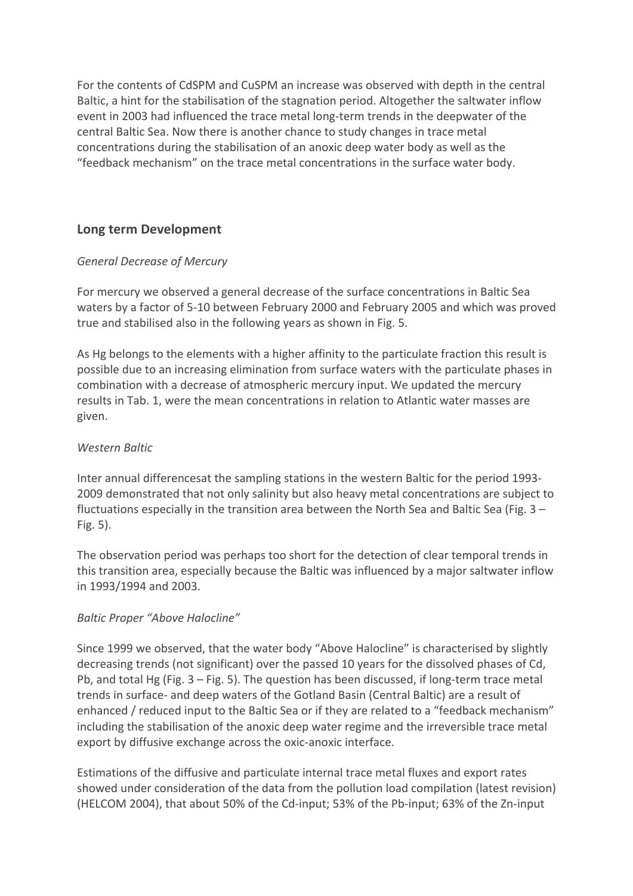For the contents of CdSPM and CuSPM an increase was observed with depth in the central Baltic, a hint for the stabilisation of the stagnation period. Altogether the saltwater inflow event in 2003 had influenced the trace metal long-term trends in the deepwater of the central Baltic Sea. Now there is another chance to study changes in trace metal concentrations during the stabilisation of an anoxic deep water body as well as the "feedback mechanism" on the trace metal concentrations in the surface water body.

### **Long term Development**

#### *General Decrease of Mercury*

For mercury we observed a general decrease of the surface concentrations in Baltic Sea waters by a factor of 5-10 between February 2000 and February 2005 and which was proved true and stabilised also in the following years as shown in Fig. 5.

As Hg belongs to the elements with a higher affinity to the particulate fraction this result is possible due to an increasing elimination from surface waters with the particulate phases in combination with a decrease of atmospheric mercury input. We updated the mercury results in Tab. 1, were the mean concentrations in relation to Atlantic water masses are given.

#### *Western Baltic*

Inter annual differencesat the sampling stations in the western Baltic for the period 1993- 2009 demonstrated that not only salinity but also heavy metal concentrations are subject to fluctuations especially in the transition area between the North Sea and Baltic Sea (Fig. 3 – Fig. 5).

The observation period was perhaps too short for the detection of clear temporal trends in this transition area, especially because the Baltic was influenced by a major saltwater inflow in 1993/1994 and 2003.

#### *Baltic Proper "Above Halocline"*

Since 1999 we observed, that the water body "Above Halocline" is characterised by slightly decreasing trends (not significant) over the passed 10 years for the dissolved phases of Cd, Pb, and total Hg (Fig. 3 – Fig. 5). The question has been discussed, if long-term trace metal trends in surface- and deep waters of the Gotland Basin (Central Baltic) are a result of enhanced / reduced input to the Baltic Sea or if they are related to a "feedback mechanism" including the stabilisation of the anoxic deep water regime and the irreversible trace metal export by diffusive exchange across the oxic-anoxic interface.

Estimations of the diffusive and particulate internal trace metal fluxes and export rates showed under consideration of the data from the pollution load compilation (latest revision) (HELCOM 2004), that about 50% of the Cd-input; 53% of the Pb-input; 63% of the Zn-input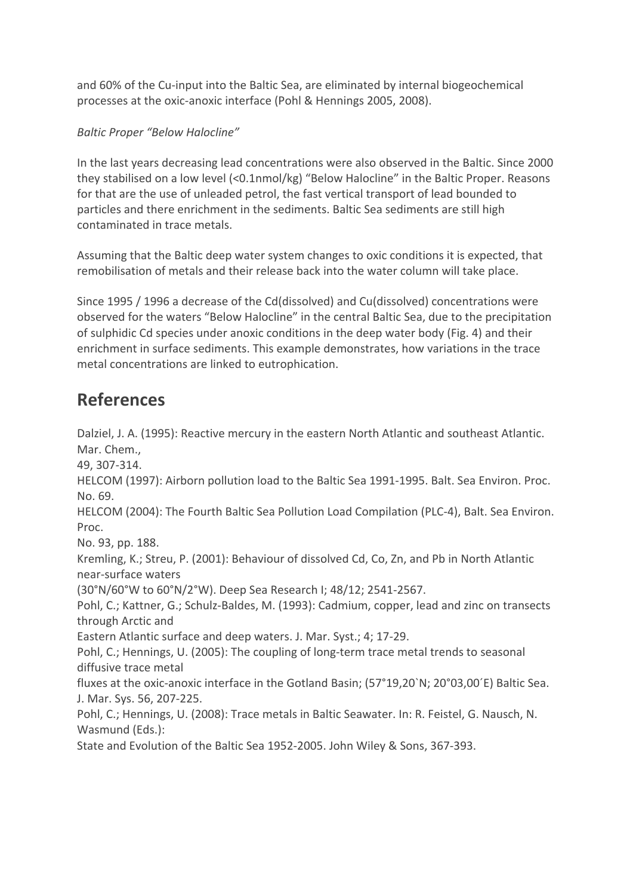and 60% of the Cu-input into the Baltic Sea, are eliminated by internal biogeochemical processes at the oxic-anoxic interface (Pohl & Hennings 2005, 2008).

### *Baltic Proper "Below Halocline"*

In the last years decreasing lead concentrations were also observed in the Baltic. Since 2000 they stabilised on a low level (<0.1nmol/kg) "Below Halocline" in the Baltic Proper. Reasons for that are the use of unleaded petrol, the fast vertical transport of lead bounded to particles and there enrichment in the sediments. Baltic Sea sediments are still high contaminated in trace metals.

Assuming that the Baltic deep water system changes to oxic conditions it is expected, that remobilisation of metals and their release back into the water column will take place.

Since 1995 / 1996 a decrease of the Cd(dissolved) and Cu(dissolved) concentrations were observed for the waters "Below Halocline" in the central Baltic Sea, due to the precipitation of sulphidic Cd species under anoxic conditions in the deep water body (Fig. 4) and their enrichment in surface sediments. This example demonstrates, how variations in the trace metal concentrations are linked to eutrophication.

# **References**

Dalziel, J. A. (1995): Reactive mercury in the eastern North Atlantic and southeast Atlantic. Mar. Chem., 49, 307-314. HELCOM (1997): Airborn pollution load to the Baltic Sea 1991-1995. Balt. Sea Environ. Proc. No. 69. HELCOM (2004): The Fourth Baltic Sea Pollution Load Compilation (PLC-4), Balt. Sea Environ. Proc. No. 93, pp. 188. Kremling, K.; Streu, P. (2001): Behaviour of dissolved Cd, Co, Zn, and Pb in North Atlantic near-surface waters (30°N/60°W to 60°N/2°W). Deep Sea Research I; 48/12; 2541-2567. Pohl, C.; Kattner, G.; Schulz-Baldes, M. (1993): Cadmium, copper, lead and zinc on transects through Arctic and Eastern Atlantic surface and deep waters. J. Mar. Syst.; 4; 17-29. Pohl, C.; Hennings, U. (2005): The coupling of long-term trace metal trends to seasonal diffusive trace metal fluxes at the oxic-anoxic interface in the Gotland Basin; (57°19,20`N; 20°03,00´E) Baltic Sea. J. Mar. Sys. 56, 207-225. Pohl, C.; Hennings, U. (2008): Trace metals in Baltic Seawater. In: R. Feistel, G. Nausch, N. Wasmund (Eds.): State and Evolution of the Baltic Sea 1952-2005. John Wiley & Sons, 367-393.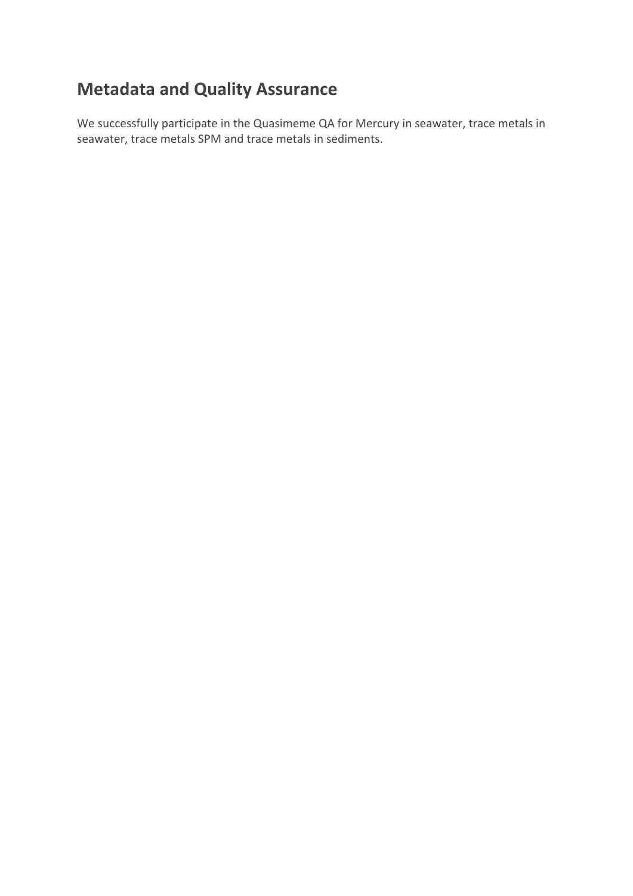# **Metadata and Quality Assurance**

We successfully participate in the Quasimeme QA for Mercury in seawater, trace metals in seawater, trace metals SPM and trace metals in sediments.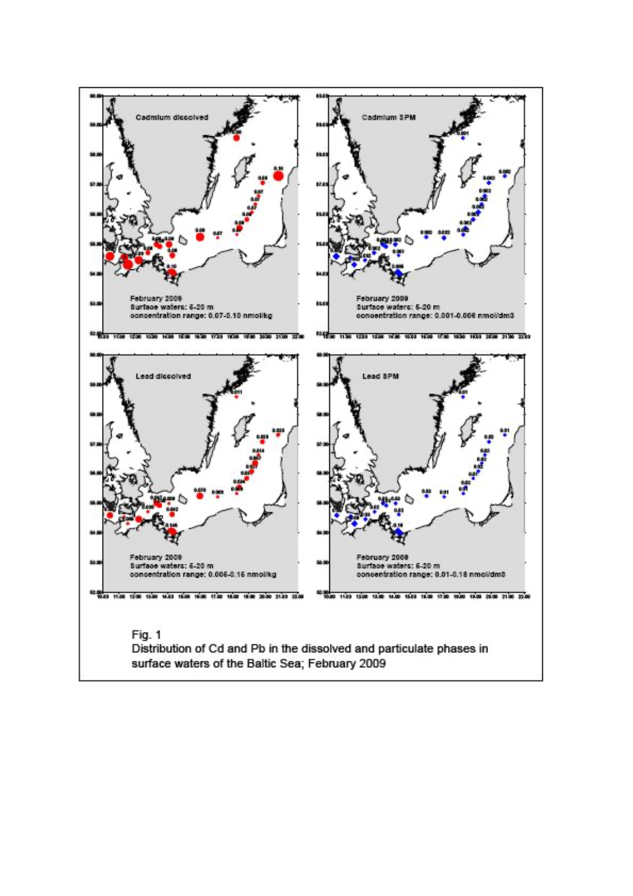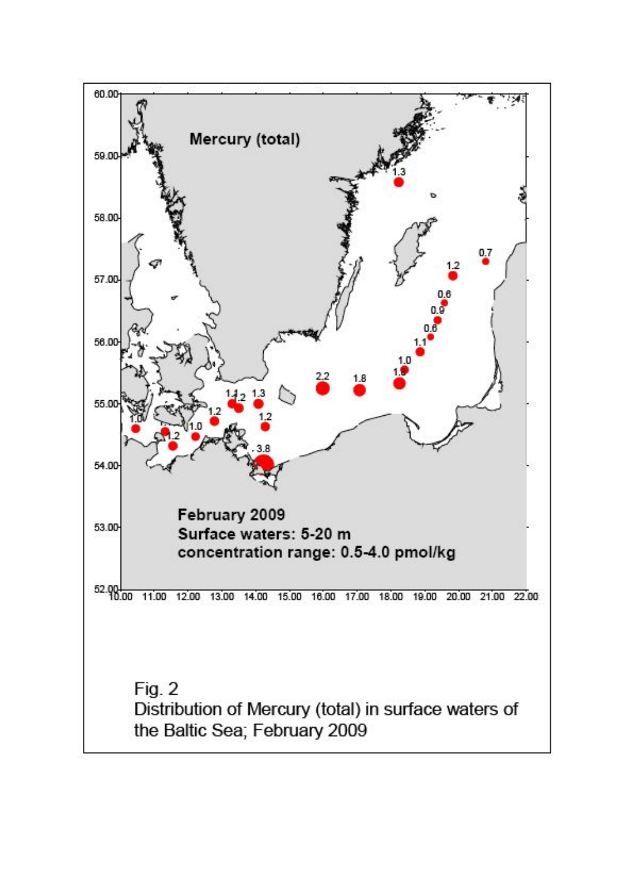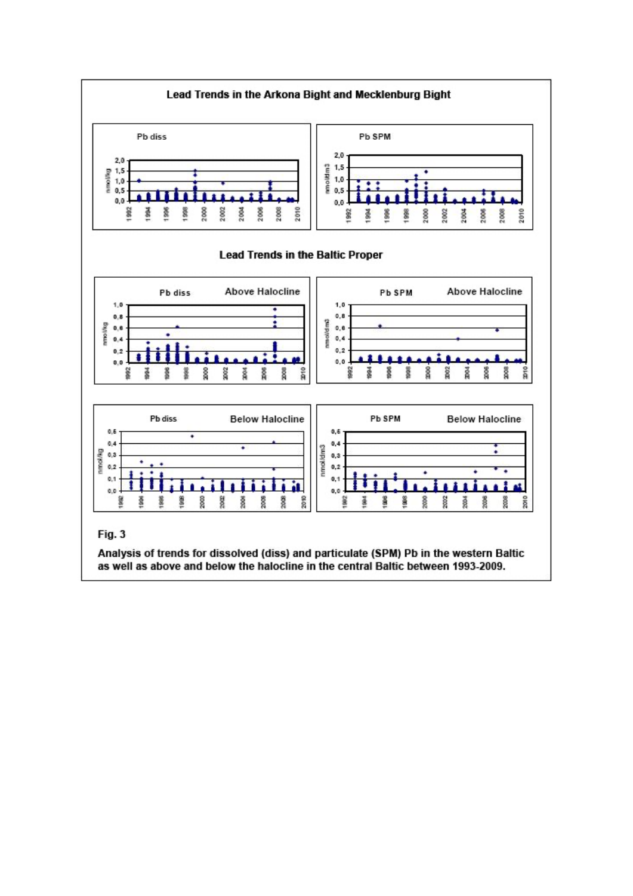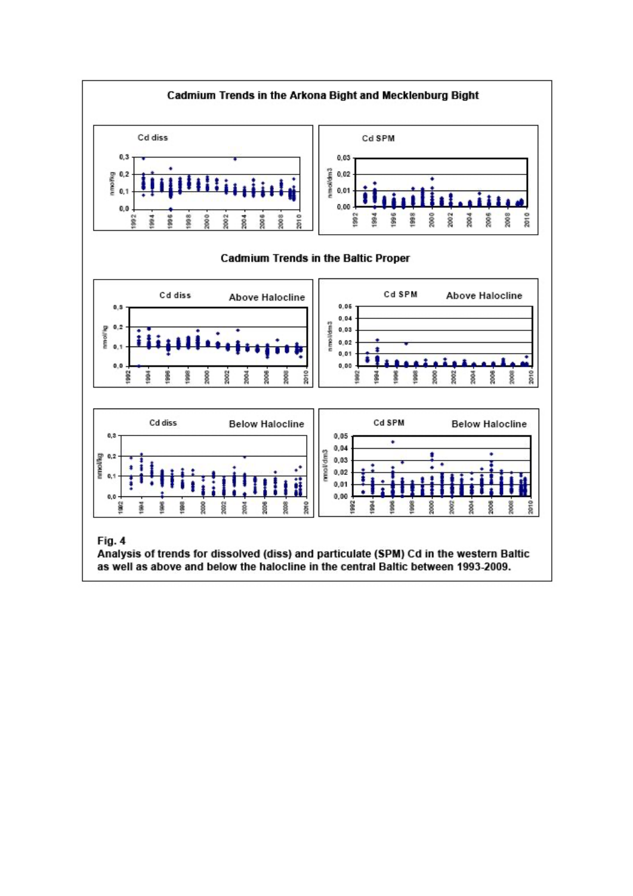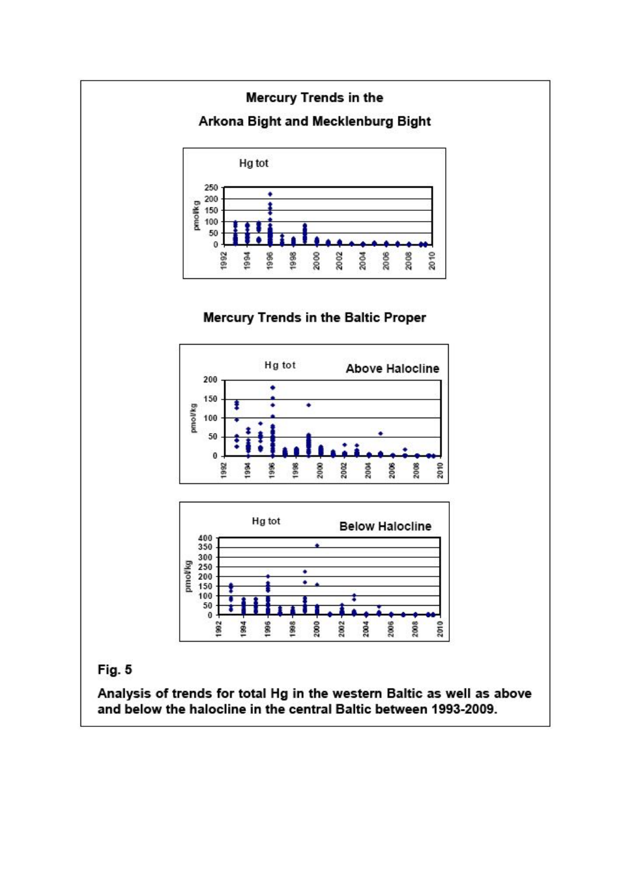

# Fig. 5

Analysis of trends for total Hg in the western Baltic as well as above and below the halocline in the central Baltic between 1993-2009.